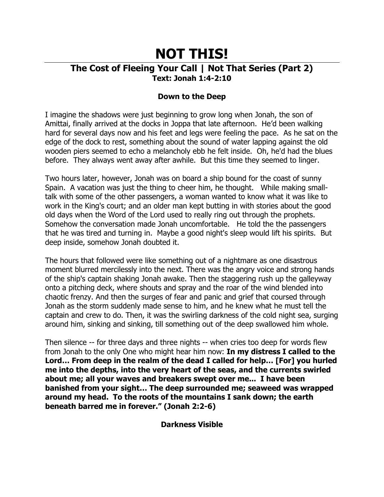# **NOT THIS!**

## **The Cost of Fleeing Your Call | Not That Series (Part 2) Text: Jonah 1:4-2:10**

### **Down to the Deep**

I imagine the shadows were just beginning to grow long when Jonah, the son of Amittai, finally arrived at the docks in Joppa that late afternoon. He'd been walking hard for several days now and his feet and legs were feeling the pace. As he sat on the edge of the dock to rest, something about the sound of water lapping against the old wooden piers seemed to echo a melancholy ebb he felt inside. Oh, he'd had the blues before. They always went away after awhile. But this time they seemed to linger.

Two hours later, however, Jonah was on board a ship bound for the coast of sunny Spain. A vacation was just the thing to cheer him, he thought. While making smalltalk with some of the other passengers, a woman wanted to know what it was like to work in the King's court; and an older man kept butting in with stories about the good old days when the Word of the Lord used to really ring out through the prophets. Somehow the conversation made Jonah uncomfortable. He told the the passengers that he was tired and turning in. Maybe a good night's sleep would lift his spirits. But deep inside, somehow Jonah doubted it.

The hours that followed were like something out of a nightmare as one disastrous moment blurred mercilessly into the next. There was the angry voice and strong hands of the ship's captain shaking Jonah awake. Then the staggering rush up the galleyway onto a pitching deck, where shouts and spray and the roar of the wind blended into chaotic frenzy. And then the surges of fear and panic and grief that coursed through Jonah as the storm suddenly made sense to him, and he knew what he must tell the captain and crew to do. Then, it was the swirling darkness of the cold night sea, surging around him, sinking and sinking, till something out of the deep swallowed him whole.

Then silence -- for three days and three nights -- when cries too deep for words flew from Jonah to the only One who might hear him now: **In my distress I called to the Lord… From deep in the realm of the dead I called for help… [For] you hurled me into the depths, into the very heart of the seas, and the currents swirled about me; all your waves and breakers swept over me... I have been banished from your sight… The deep surrounded me; seaweed was wrapped around my head. To the roots of the mountains I sank down; the earth beneath barred me in forever." (Jonah 2:2-6)**

**Darkness Visible**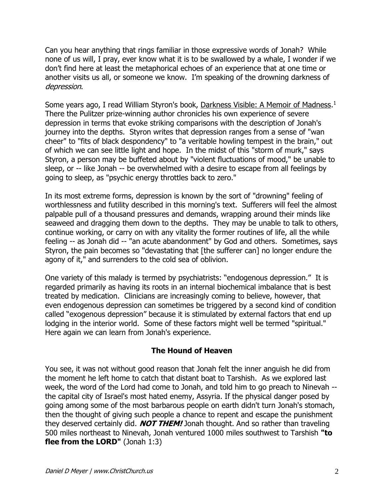Can you hear anything that rings familiar in those expressive words of Jonah? While none of us will, I pray, ever know what it is to be swallowed by a whale, I wonder if we don't find here at least the metaphorical echoes of an experience that at one time or another visits us all, or someone we know. I'm speaking of the drowning darkness of depression.

Some years ago, I read William Styron's book, Darkness Visible: A Memoir of Madness.<sup>1</sup> There the Pulitzer prize-winning author chronicles his own experience of severe depression in terms that evoke striking comparisons with the description of Jonah's journey into the depths. Styron writes that depression ranges from a sense of "wan cheer" to "fits of black despondency" to "a veritable howling tempest in the brain," out of which we can see little light and hope. In the midst of this "storm of murk," says Styron, a person may be buffeted about by "violent fluctuations of mood," be unable to sleep, or -- like Jonah -- be overwhelmed with a desire to escape from all feelings by going to sleep, as "psychic energy throttles back to zero."

In its most extreme forms, depression is known by the sort of "drowning" feeling of worthlessness and futility described in this morning's text. Sufferers will feel the almost palpable pull of a thousand pressures and demands, wrapping around their minds like seaweed and dragging them down to the depths. They may be unable to talk to others, continue working, or carry on with any vitality the former routines of life, all the while feeling -- as Jonah did -- "an acute abandonment" by God and others. Sometimes, says Styron, the pain becomes so "devastating that [the sufferer can] no longer endure the agony of it," and surrenders to the cold sea of oblivion.

One variety of this malady is termed by psychiatrists: "endogenous depression." It is regarded primarily as having its roots in an internal biochemical imbalance that is best treated by medication. Clinicians are increasingly coming to believe, however, that even endogenous depression can sometimes be triggered by a second kind of condition called "exogenous depression" because it is stimulated by external factors that end up lodging in the interior world. Some of these factors might well be termed "spiritual." Here again we can learn from Jonah's experience.

#### **The Hound of Heaven**

You see, it was not without good reason that Jonah felt the inner anguish he did from the moment he left home to catch that distant boat to Tarshish. As we explored last week, the word of the Lord had come to Jonah, and told him to go preach to Ninevah - the capital city of Israel's most hated enemy, Assyria. If the physical danger posed by going among some of the most barbarous people on earth didn't turn Jonah's stomach, then the thought of giving such people a chance to repent and escape the punishment they deserved certainly did. **NOT THEM!** Jonah thought. And so rather than traveling 500 miles northeast to Ninevah, Jonah ventured 1000 miles southwest to Tarshish **"to flee from the LORD"** (Jonah 1:3)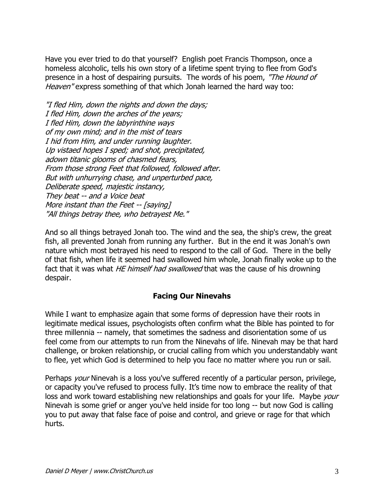Have you ever tried to do that yourself? English poet Francis Thompson, once a homeless alcoholic, tells his own story of a lifetime spent trying to flee from God's presence in a host of despairing pursuits. The words of his poem, "The Hound of Heaven" express something of that which Jonah learned the hard way too:

"I fled Him, down the nights and down the days; I fled Him, down the arches of the years; I fled Him, down the labyrinthine ways of my own mind; and in the mist of tears I hid from Him, and under running laughter. Up vistaed hopes I sped; and shot, precipitated, adown titanic glooms of chasmed fears, From those strong Feet that followed, followed after. But with unhurrying chase, and unperturbed pace, Deliberate speed, majestic instancy, They beat -- and a Voice beat More instant than the Feet -- [saying] "All things betray thee, who betrayest Me."

And so all things betrayed Jonah too. The wind and the sea, the ship's crew, the great fish, all prevented Jonah from running any further. But in the end it was Jonah's own nature which most betrayed his need to respond to the call of God. There in the belly of that fish, when life it seemed had swallowed him whole, Jonah finally woke up to the fact that it was what HE himself had swallowed that was the cause of his drowning despair.

#### **Facing Our Ninevahs**

While I want to emphasize again that some forms of depression have their roots in legitimate medical issues, psychologists often confirm what the Bible has pointed to for three millennia -- namely, that sometimes the sadness and disorientation some of us feel come from our attempts to run from the Ninevahs of life. Ninevah may be that hard challenge, or broken relationship, or crucial calling from which you understandably want to flee, yet which God is determined to help you face no matter where you run or sail.

Perhaps *your* Ninevah is a loss you've suffered recently of a particular person, privilege, or capacity you've refused to process fully. It's time now to embrace the reality of that loss and work toward establishing new relationships and goals for your life. Maybe your Ninevah is some grief or anger you've held inside for too long -- but now God is calling you to put away that false face of poise and control, and grieve or rage for that which hurts.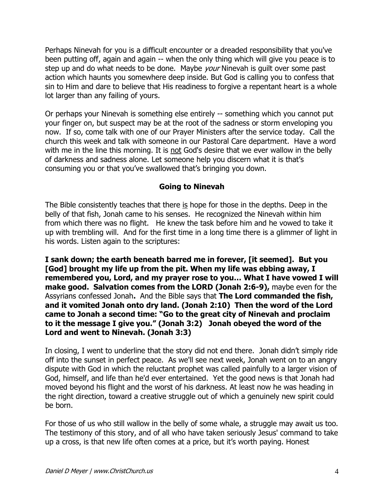Perhaps Ninevah for you is a difficult encounter or a dreaded responsibility that you've been putting off, again and again -- when the only thing which will give you peace is to step up and do what needs to be done. Maybe *your* Ninevah is guilt over some past action which haunts you somewhere deep inside. But God is calling you to confess that sin to Him and dare to believe that His readiness to forgive a repentant heart is a whole lot larger than any failing of yours.

Or perhaps your Ninevah is something else entirely -- something which you cannot put your finger on, but suspect may be at the root of the sadness or storm enveloping you now. If so, come talk with one of our Prayer Ministers after the service today. Call the church this week and talk with someone in our Pastoral Care department. Have a word with me in the line this morning. It is not God's desire that we ever wallow in the belly of darkness and sadness alone. Let someone help you discern what it is that's consuming you or that you've swallowed that's bringing you down.

#### **Going to Ninevah**

The Bible consistently teaches that there is hope for those in the depths. Deep in the belly of that fish, Jonah came to his senses. He recognized the Ninevah within him from which there was no flight. He knew the task before him and he vowed to take it up with trembling will. And for the first time in a long time there is a glimmer of light in his words. Listen again to the scriptures:

**I sank down; the earth beneath barred me in forever, [it seemed]. But you [God] brought my life up from the pit. When my life was ebbing away, I remembered you, Lord, and my prayer rose to you… What I have vowed I will make good. Salvation comes from the LORD (Jonah 2:6-9),** maybe even for the Assyrians confessed Jonah**.** And the Bible says that **The Lord commanded the fish, and it vomited Jonah onto dry land. (Jonah 2:10) Then the word of the Lord came to Jonah a second time: "Go to the great city of Ninevah and proclaim to it the message I give you." (Jonah 3:2) Jonah obeyed the word of the Lord and went to Ninevah. (Jonah 3:3)**

In closing, I went to underline that the story did not end there. Jonah didn't simply ride off into the sunset in perfect peace. As we'll see next week, Jonah went on to an angry dispute with God in which the reluctant prophet was called painfully to a larger vision of God, himself, and life than he'd ever entertained. Yet the good news is that Jonah had moved beyond his flight and the worst of his darkness. At least now he was heading in the right direction, toward a creative struggle out of which a genuinely new spirit could be born.

For those of us who still wallow in the belly of some whale, a struggle may await us too. The testimony of this story, and of all who have taken seriously Jesus' command to take up a cross, is that new life often comes at a price, but it's worth paying. Honest